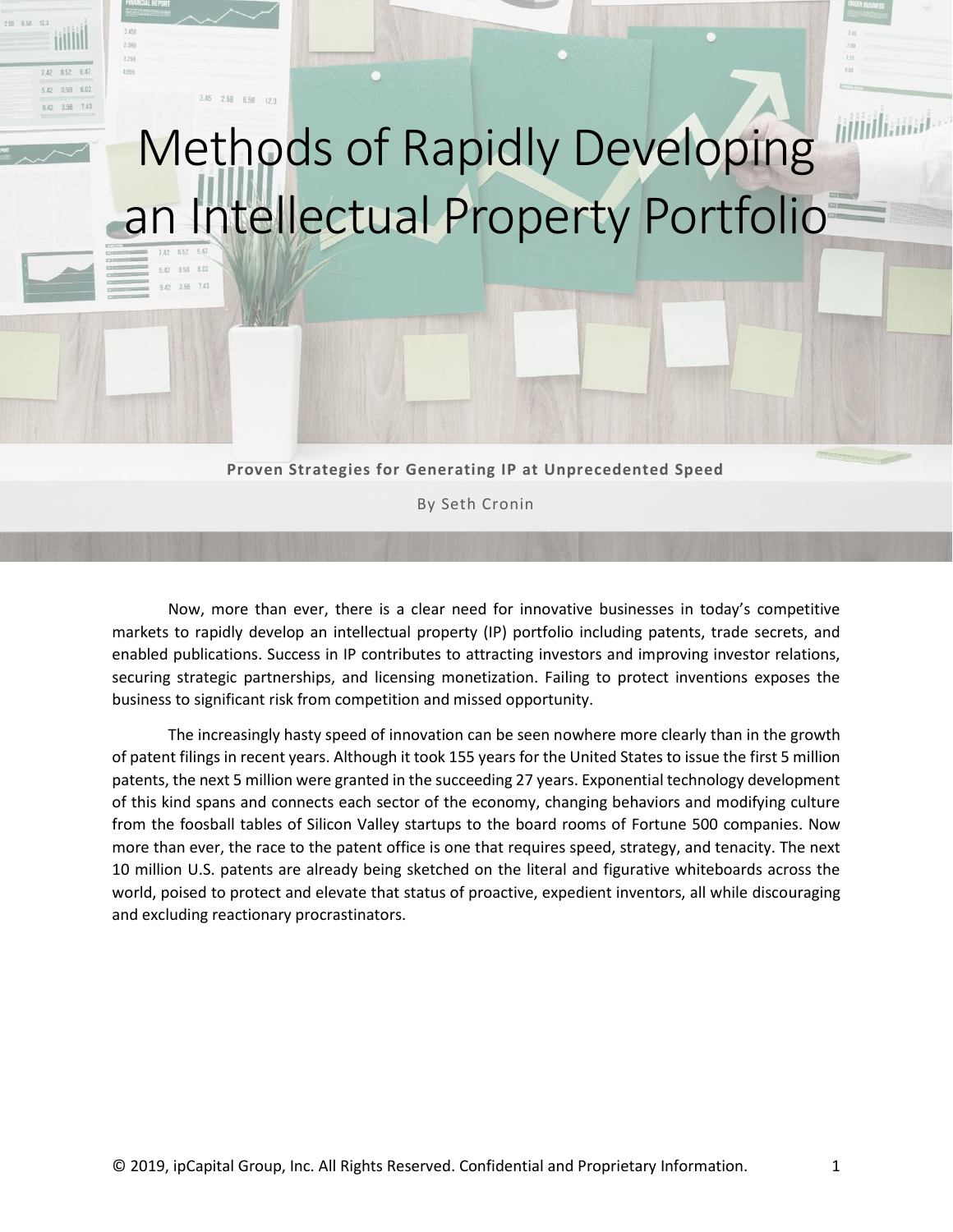

 $128$ 

 $7.42$  8.52 6.47 5.42 0.58 6.02

 $9.42 3.56$ 

# Methods of Rapidly Developing an Intellectual Property Portfolio

**Proven Strategies for Generating IP at Unprecedented Speed**

By Seth Cronin

Now, more than ever, there is a clear need for innovative businesses in today's competitive markets to rapidly develop an intellectual property (IP) portfolio including patents, trade secrets, and enabled publications. Success in IP contributes to attracting investors and improving investor relations, securing strategic partnerships, and licensing monetization. Failing to protect inventions exposes the business to significant risk from competition and missed opportunity.

The increasingly hasty speed of innovation can be seen nowhere more clearly than in the growth of patent filings in recent years. Although it took 155 years for the United States to issue the first 5 million patents, the next 5 million were granted in the succeeding 27 years. Exponential technology development of this kind spans and connects each sector of the economy, changing behaviors and modifying culture from the foosball tables of Silicon Valley startups to the board rooms of Fortune 500 companies. Now more than ever, the race to the patent office is one that requires speed, strategy, and tenacity. The next 10 million U.S. patents are already being sketched on the literal and figurative whiteboards across the world, poised to protect and elevate that status of proactive, expedient inventors, all while discouraging and excluding reactionary procrastinators.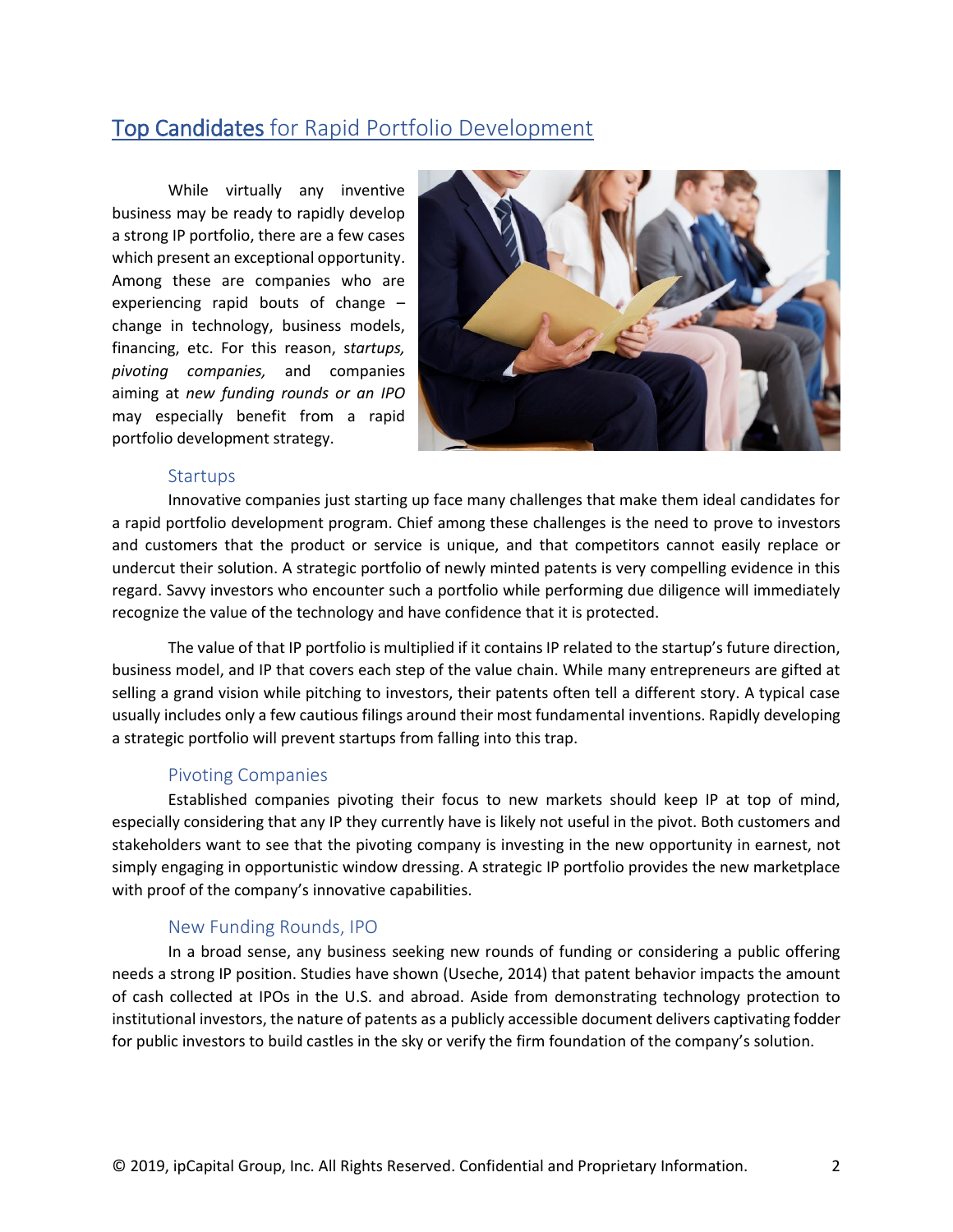# Top Candidates for Rapid Portfolio Development

While virtually any inventive business may be ready to rapidly develop a strong IP portfolio, there are a few cases which present an exceptional opportunity. Among these are companies who are experiencing rapid bouts of change – change in technology, business models, financing, etc. For this reason, s*tartups, pivoting companies,* and companies aiming at *new funding rounds or an IPO* may especially benefit from a rapid portfolio development strategy.



#### **Startups**

Innovative companies just starting up face many challenges that make them ideal candidates for a rapid portfolio development program. Chief among these challenges is the need to prove to investors and customers that the product or service is unique, and that competitors cannot easily replace or undercut their solution. A strategic portfolio of newly minted patents is very compelling evidence in this regard. Savvy investors who encounter such a portfolio while performing due diligence will immediately recognize the value of the technology and have confidence that it is protected.

The value of that IP portfolio is multiplied if it contains IP related to the startup's future direction, business model, and IP that covers each step of the value chain. While many entrepreneurs are gifted at selling a grand vision while pitching to investors, their patents often tell a different story. A typical case usually includes only a few cautious filings around their most fundamental inventions. Rapidly developing a strategic portfolio will prevent startups from falling into this trap.

#### Pivoting Companies

Established companies pivoting their focus to new markets should keep IP at top of mind, especially considering that any IP they currently have is likely not useful in the pivot. Both customers and stakeholders want to see that the pivoting company is investing in the new opportunity in earnest, not simply engaging in opportunistic window dressing. A strategic IP portfolio provides the new marketplace with proof of the company's innovative capabilities.

## New Funding Rounds, IPO

In a broad sense, any business seeking new rounds of funding or considering a public offering needs a strong IP position. Studies have shown (Useche, 2014) that patent behavior impacts the amount of cash collected at IPOs in the U.S. and abroad. Aside from demonstrating technology protection to institutional investors, the nature of patents as a publicly accessible document delivers captivating fodder for public investors to build castles in the sky or verify the firm foundation of the company's solution.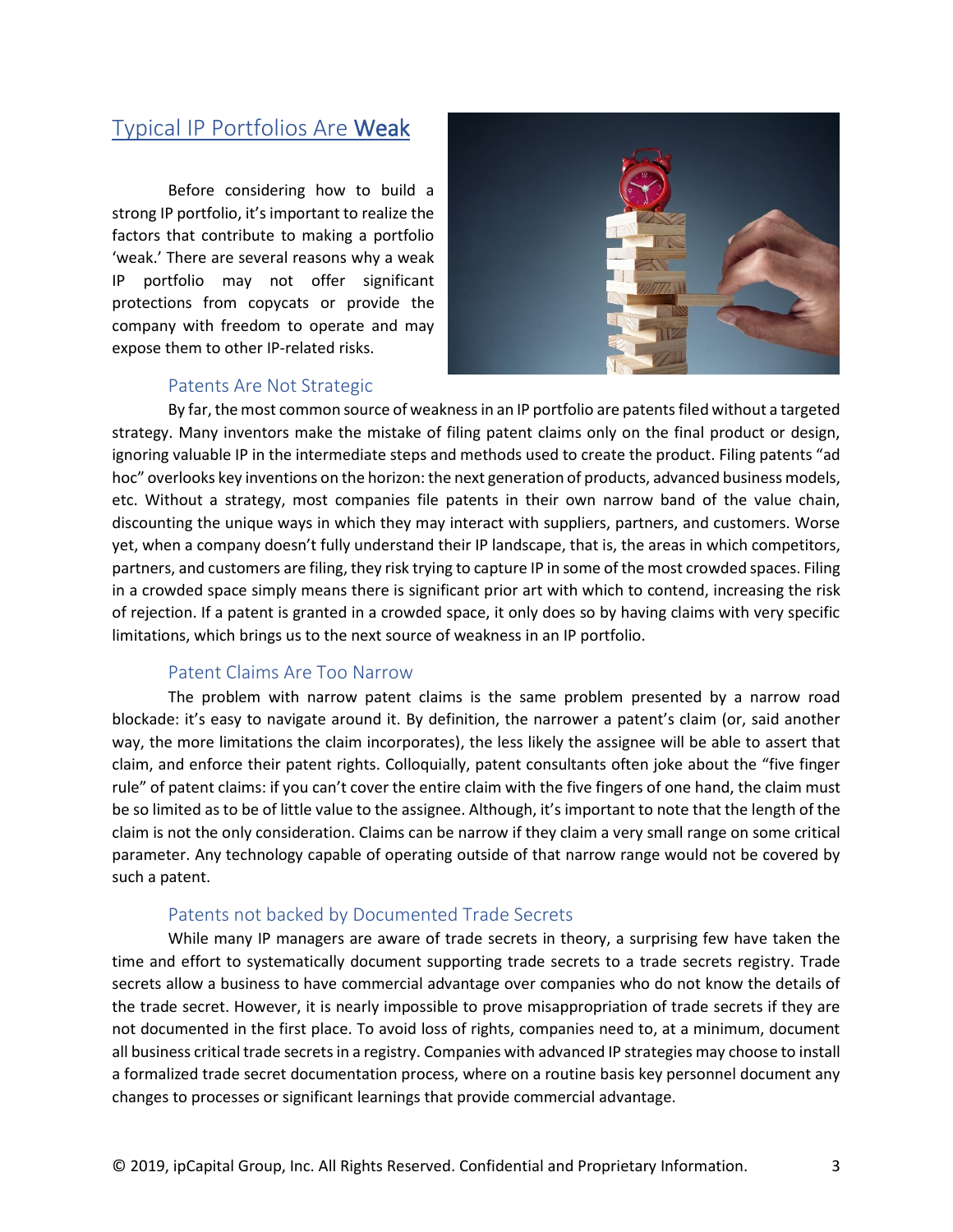# Typical IP Portfolios Are Weak

Before considering how to build a strong IP portfolio, it's important to realize the factors that contribute to making a portfolio 'weak.' There are several reasons why a weak IP portfolio may not offer significant protections from copycats or provide the company with freedom to operate and may expose them to other IP-related risks.



## Patents Are Not Strategic

By far, the most common source of weakness in an IP portfolio are patents filed without a targeted strategy. Many inventors make the mistake of filing patent claims only on the final product or design, ignoring valuable IP in the intermediate steps and methods used to create the product. Filing patents "ad hoc" overlooks key inventions on the horizon: the next generation of products, advanced business models, etc. Without a strategy, most companies file patents in their own narrow band of the value chain, discounting the unique ways in which they may interact with suppliers, partners, and customers. Worse yet, when a company doesn't fully understand their IP landscape, that is, the areas in which competitors, partners, and customers are filing, they risk trying to capture IP in some of the most crowded spaces. Filing in a crowded space simply means there is significant prior art with which to contend, increasing the risk of rejection. If a patent is granted in a crowded space, it only does so by having claims with very specific limitations, which brings us to the next source of weakness in an IP portfolio.

#### Patent Claims Are Too Narrow

The problem with narrow patent claims is the same problem presented by a narrow road blockade: it's easy to navigate around it. By definition, the narrower a patent's claim (or, said another way, the more limitations the claim incorporates), the less likely the assignee will be able to assert that claim, and enforce their patent rights. Colloquially, patent consultants often joke about the "five finger rule" of patent claims: if you can't cover the entire claim with the five fingers of one hand, the claim must be so limited as to be of little value to the assignee. Although, it's important to note that the length of the claim is not the only consideration. Claims can be narrow if they claim a very small range on some critical parameter. Any technology capable of operating outside of that narrow range would not be covered by such a patent.

# Patents not backed by Documented Trade Secrets

While many IP managers are aware of trade secrets in theory, a surprising few have taken the time and effort to systematically document supporting trade secrets to a trade secrets registry. Trade secrets allow a business to have commercial advantage over companies who do not know the details of the trade secret. However, it is nearly impossible to prove misappropriation of trade secrets if they are not documented in the first place. To avoid loss of rights, companies need to, at a minimum, document all business critical trade secrets in a registry. Companies with advanced IP strategies may choose to install a formalized trade secret documentation process, where on a routine basis key personnel document any changes to processes or significant learnings that provide commercial advantage.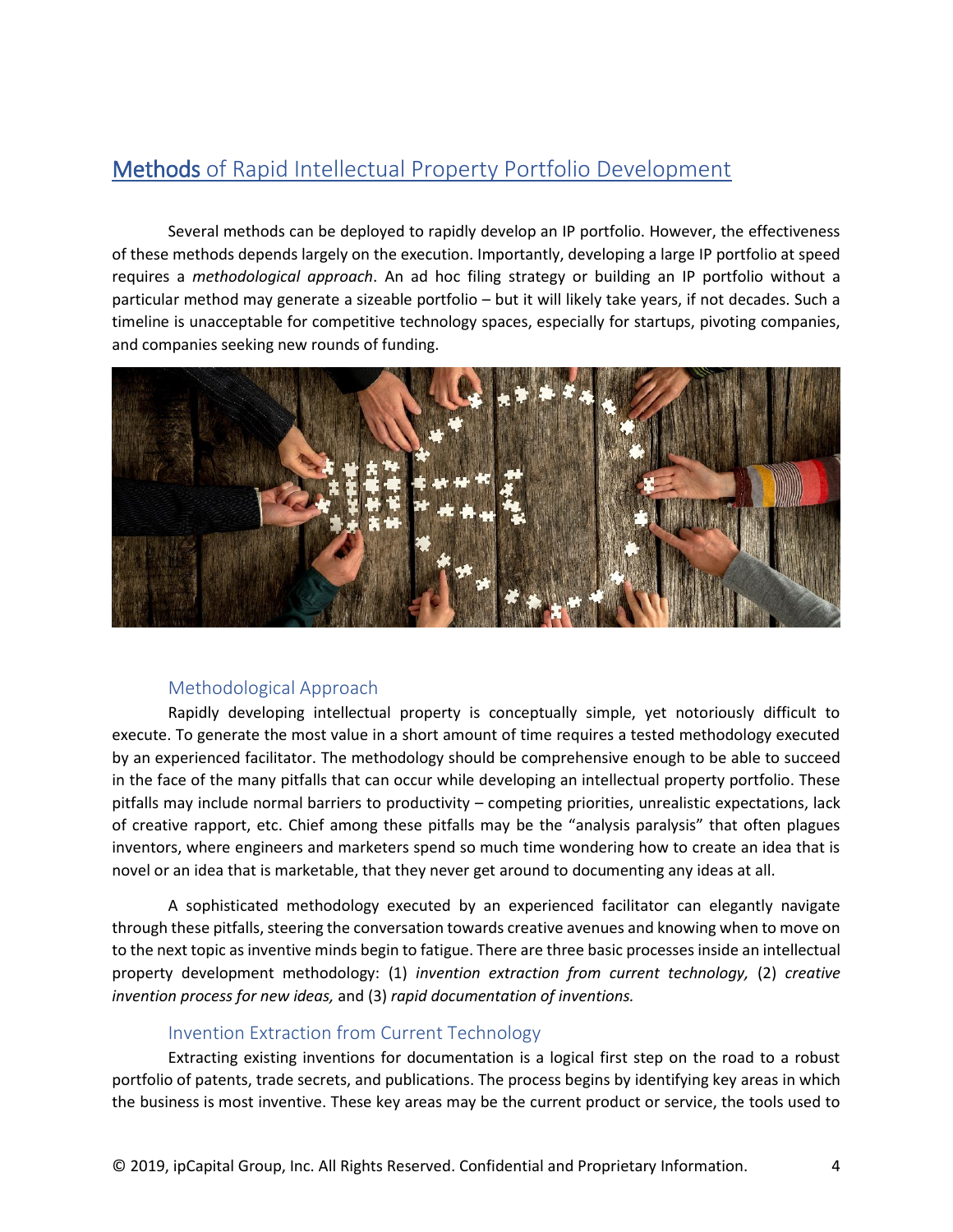# Methods of Rapid Intellectual Property Portfolio Development

Several methods can be deployed to rapidly develop an IP portfolio. However, the effectiveness of these methods depends largely on the execution. Importantly, developing a large IP portfolio at speed requires a *methodological approach*. An ad hoc filing strategy or building an IP portfolio without a particular method may generate a sizeable portfolio – but it will likely take years, if not decades. Such a timeline is unacceptable for competitive technology spaces, especially for startups, pivoting companies, and companies seeking new rounds of funding.



# Methodological Approach

Rapidly developing intellectual property is conceptually simple, yet notoriously difficult to execute. To generate the most value in a short amount of time requires a tested methodology executed by an experienced facilitator. The methodology should be comprehensive enough to be able to succeed in the face of the many pitfalls that can occur while developing an intellectual property portfolio. These pitfalls may include normal barriers to productivity – competing priorities, unrealistic expectations, lack of creative rapport, etc. Chief among these pitfalls may be the "analysis paralysis" that often plagues inventors, where engineers and marketers spend so much time wondering how to create an idea that is novel or an idea that is marketable, that they never get around to documenting any ideas at all.

A sophisticated methodology executed by an experienced facilitator can elegantly navigate through these pitfalls, steering the conversation towards creative avenues and knowing when to move on to the next topic as inventive minds begin to fatigue. There are three basic processes inside an intellectual property development methodology: (1) *invention extraction from current technology,* (2) *creative invention process for new ideas,* and (3) *rapid documentation of inventions.*

# Invention Extraction from Current Technology

Extracting existing inventions for documentation is a logical first step on the road to a robust portfolio of patents, trade secrets, and publications. The process begins by identifying key areas in which the business is most inventive. These key areas may be the current product or service, the tools used to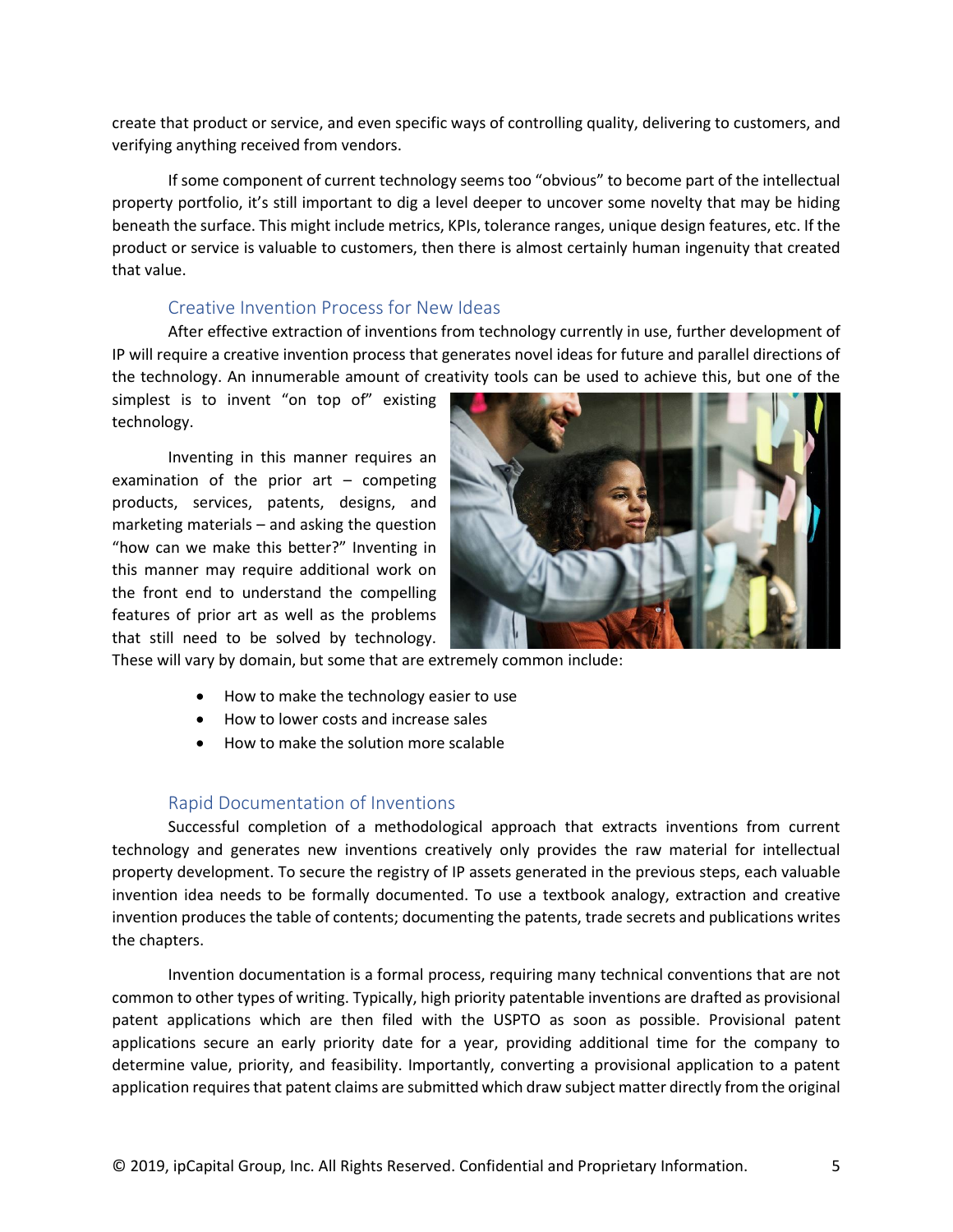create that product or service, and even specific ways of controlling quality, delivering to customers, and verifying anything received from vendors.

If some component of current technology seems too "obvious" to become part of the intellectual property portfolio, it's still important to dig a level deeper to uncover some novelty that may be hiding beneath the surface. This might include metrics, KPIs, tolerance ranges, unique design features, etc. If the product or service is valuable to customers, then there is almost certainly human ingenuity that created that value.

#### Creative Invention Process for New Ideas

After effective extraction of inventions from technology currently in use, further development of IP will require a creative invention process that generates novel ideas for future and parallel directions of the technology. An innumerable amount of creativity tools can be used to achieve this, but one of the

simplest is to invent "on top of" existing technology.

Inventing in this manner requires an examination of the prior  $art -$  competing products, services, patents, designs, and marketing materials – and asking the question "how can we make this better?" Inventing in this manner may require additional work on the front end to understand the compelling features of prior art as well as the problems that still need to be solved by technology.



These will vary by domain, but some that are extremely common include:

- How to make the technology easier to use
- How to lower costs and increase sales
- How to make the solution more scalable

#### Rapid Documentation of Inventions

Successful completion of a methodological approach that extracts inventions from current technology and generates new inventions creatively only provides the raw material for intellectual property development. To secure the registry of IP assets generated in the previous steps, each valuable invention idea needs to be formally documented. To use a textbook analogy, extraction and creative invention produces the table of contents; documenting the patents, trade secrets and publications writes the chapters.

Invention documentation is a formal process, requiring many technical conventions that are not common to other types of writing. Typically, high priority patentable inventions are drafted as provisional patent applications which are then filed with the USPTO as soon as possible. Provisional patent applications secure an early priority date for a year, providing additional time for the company to determine value, priority, and feasibility. Importantly, converting a provisional application to a patent application requires that patent claims are submitted which draw subject matter directly from the original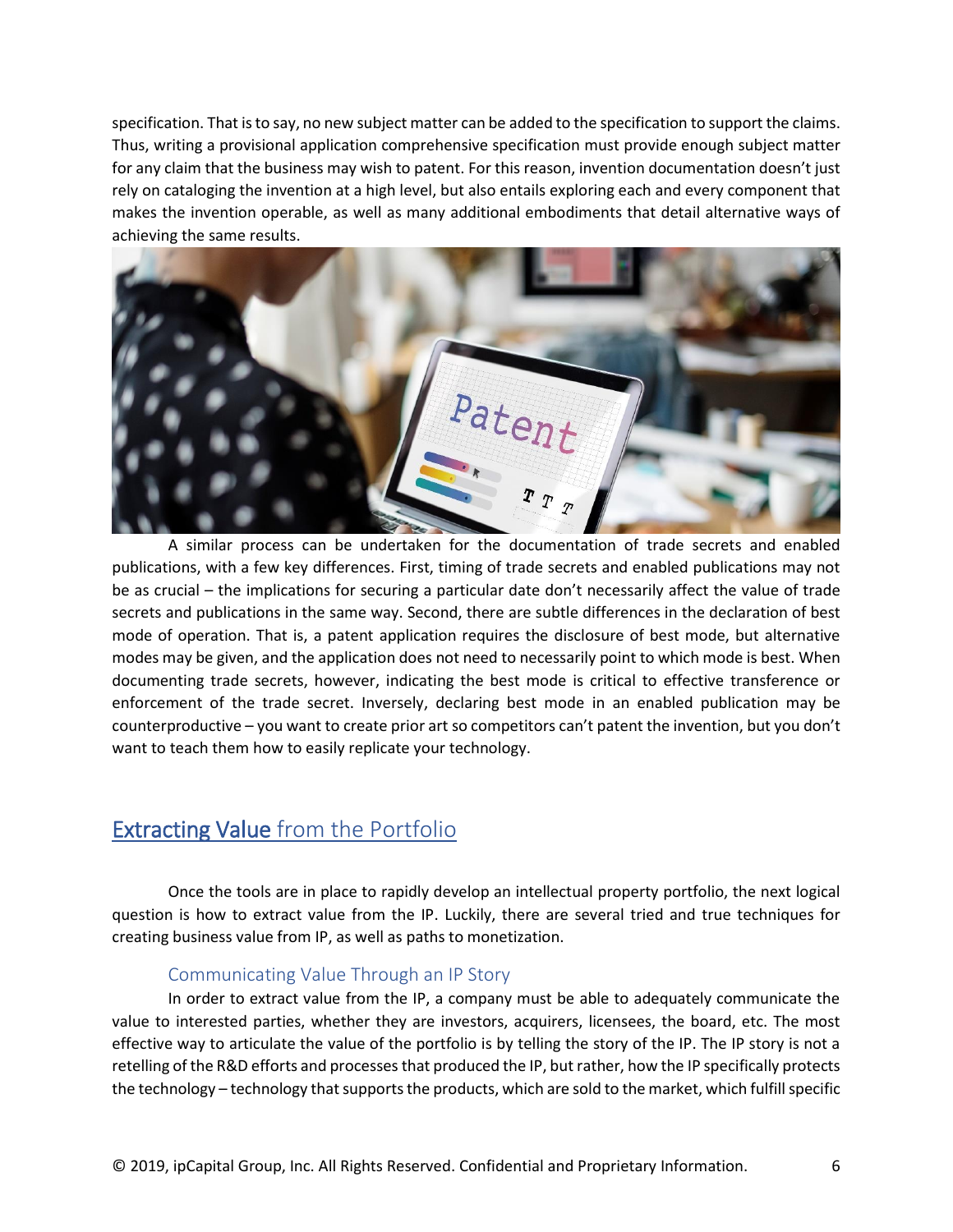specification. That is to say, no new subject matter can be added to the specification to support the claims. Thus, writing a provisional application comprehensive specification must provide enough subject matter for any claim that the business may wish to patent. For this reason, invention documentation doesn't just rely on cataloging the invention at a high level, but also entails exploring each and every component that makes the invention operable, as well as many additional embodiments that detail alternative ways of achieving the same results.



A similar process can be undertaken for the documentation of trade secrets and enabled publications, with a few key differences. First, timing of trade secrets and enabled publications may not be as crucial – the implications for securing a particular date don't necessarily affect the value of trade secrets and publications in the same way. Second, there are subtle differences in the declaration of best mode of operation. That is, a patent application requires the disclosure of best mode, but alternative modes may be given, and the application does not need to necessarily point to which mode is best. When documenting trade secrets, however, indicating the best mode is critical to effective transference or enforcement of the trade secret. Inversely, declaring best mode in an enabled publication may be counterproductive – you want to create prior art so competitors can't patent the invention, but you don't want to teach them how to easily replicate your technology.

# Extracting Value from the Portfolio

Once the tools are in place to rapidly develop an intellectual property portfolio, the next logical question is how to extract value from the IP. Luckily, there are several tried and true techniques for creating business value from IP, as well as paths to monetization.

# Communicating Value Through an IP Story

In order to extract value from the IP, a company must be able to adequately communicate the value to interested parties, whether they are investors, acquirers, licensees, the board, etc. The most effective way to articulate the value of the portfolio is by telling the story of the IP. The IP story is not a retelling of the R&D efforts and processes that produced the IP, but rather, how the IP specifically protects the technology – technology that supports the products, which are sold to the market, which fulfill specific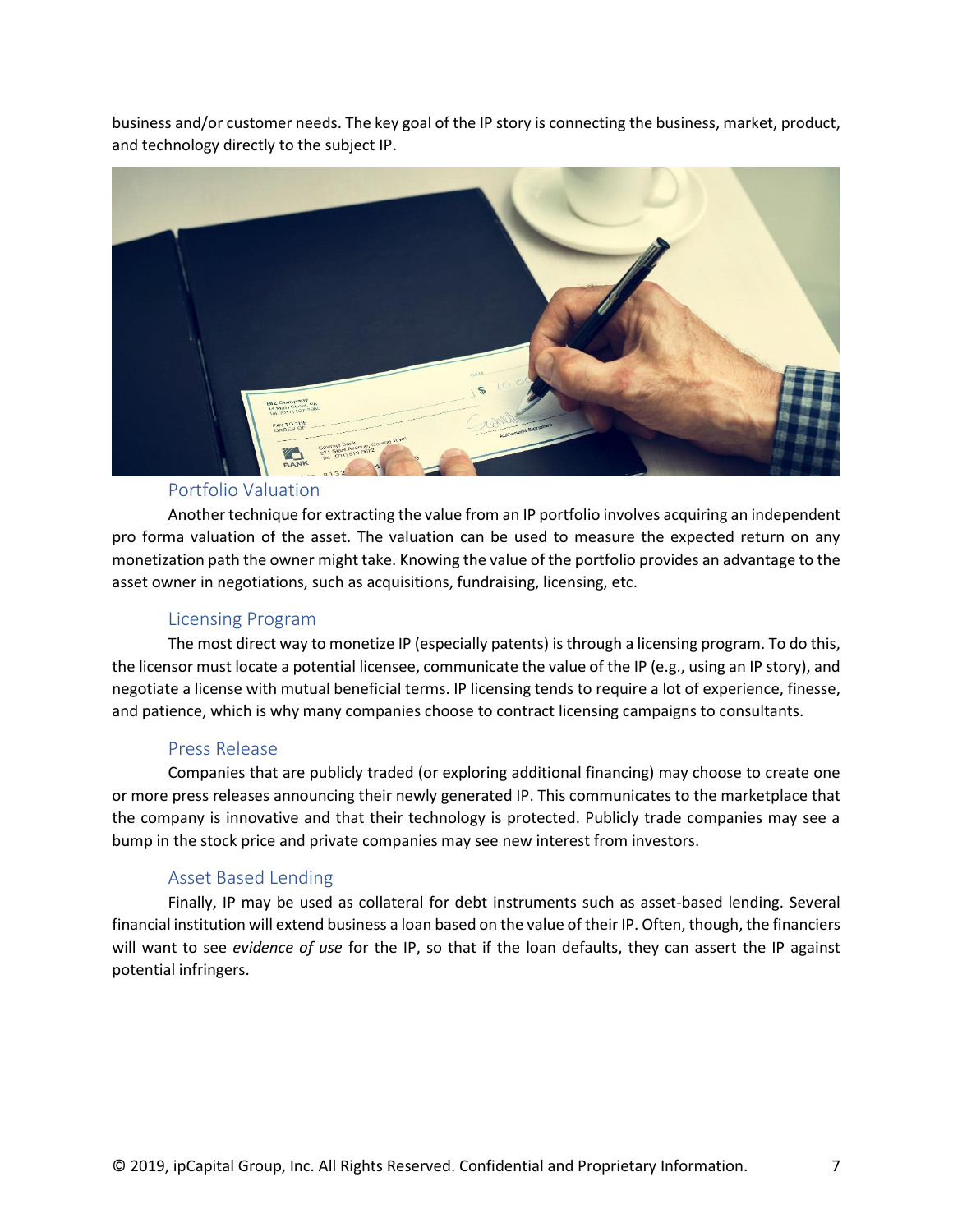business and/or customer needs. The key goal of the IP story is connecting the business, market, product, and technology directly to the subject IP.



# Portfolio Valuation

Another technique for extracting the value from an IP portfolio involves acquiring an independent pro forma valuation of the asset. The valuation can be used to measure the expected return on any monetization path the owner might take. Knowing the value of the portfolio provides an advantage to the asset owner in negotiations, such as acquisitions, fundraising, licensing, etc.

## Licensing Program

The most direct way to monetize IP (especially patents) is through a licensing program. To do this, the licensor must locate a potential licensee, communicate the value of the IP (e.g., using an IP story), and negotiate a license with mutual beneficial terms. IP licensing tends to require a lot of experience, finesse, and patience, which is why many companies choose to contract licensing campaigns to consultants.

#### Press Release

Companies that are publicly traded (or exploring additional financing) may choose to create one or more press releases announcing their newly generated IP. This communicates to the marketplace that the company is innovative and that their technology is protected. Publicly trade companies may see a bump in the stock price and private companies may see new interest from investors.

## Asset Based Lending

Finally, IP may be used as collateral for debt instruments such as asset-based lending. Several financial institution will extend business a loan based on the value of their IP. Often, though, the financiers will want to see *evidence of use* for the IP, so that if the loan defaults, they can assert the IP against potential infringers.